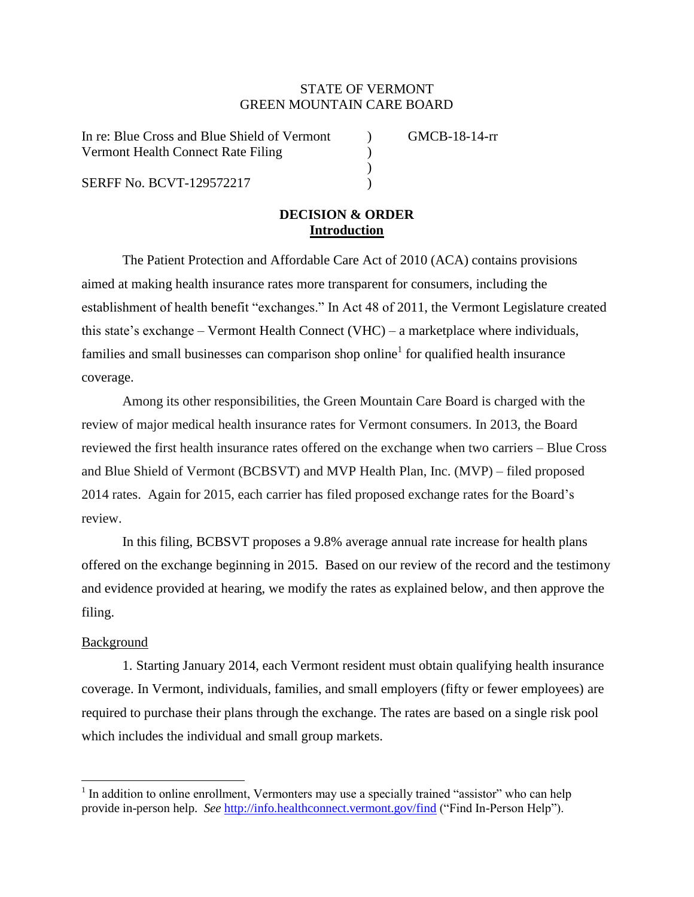# STATE OF VERMONT GREEN MOUNTAIN CARE BOARD

In re: Blue Cross and Blue Shield of Vermont (a) GMCB-18-14-rr Vermont Health Connect Rate Filing (1994)

SERFF No. BCVT-129572217

# **DECISION & ORDER Introduction**

)

The Patient Protection and Affordable Care Act of 2010 (ACA) contains provisions aimed at making health insurance rates more transparent for consumers, including the establishment of health benefit "exchanges." In Act 48 of 2011, the Vermont Legislature created this state's exchange – Vermont Health Connect (VHC) – a marketplace where individuals, families and small businesses can comparison shop online<sup>1</sup> for qualified health insurance coverage.

Among its other responsibilities, the Green Mountain Care Board is charged with the review of major medical health insurance rates for Vermont consumers. In 2013, the Board reviewed the first health insurance rates offered on the exchange when two carriers – Blue Cross and Blue Shield of Vermont (BCBSVT) and MVP Health Plan, Inc. (MVP) – filed proposed 2014 rates. Again for 2015, each carrier has filed proposed exchange rates for the Board's review.

In this filing, BCBSVT proposes a 9.8% average annual rate increase for health plans offered on the exchange beginning in 2015. Based on our review of the record and the testimony and evidence provided at hearing, we modify the rates as explained below, and then approve the filing.

## Background

 $\overline{\phantom{a}}$ 

1. Starting January 2014, each Vermont resident must obtain qualifying health insurance coverage. In Vermont, individuals, families, and small employers (fifty or fewer employees) are required to purchase their plans through the exchange. The rates are based on a single risk pool which includes the individual and small group markets.

<sup>&</sup>lt;sup>1</sup> In addition to online enrollment, Vermonters may use a specially trained "assistor" who can help provide in-person help. *See* <http://info.healthconnect.vermont.gov/find> ("Find In-Person Help").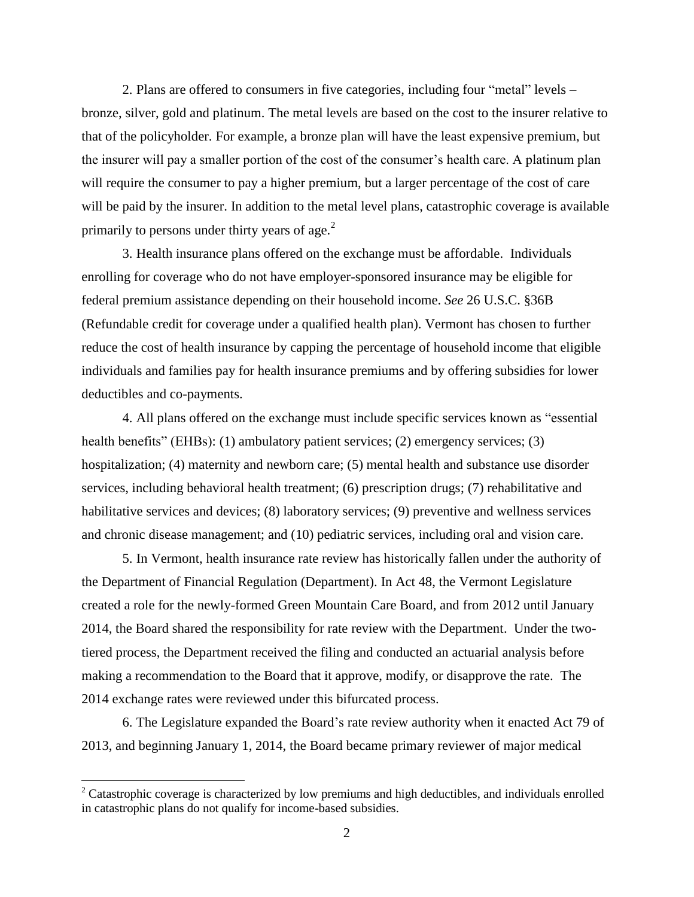2. Plans are offered to consumers in five categories, including four "metal" levels – bronze, silver, gold and platinum. The metal levels are based on the cost to the insurer relative to that of the policyholder. For example, a bronze plan will have the least expensive premium, but the insurer will pay a smaller portion of the cost of the consumer's health care. A platinum plan will require the consumer to pay a higher premium, but a larger percentage of the cost of care will be paid by the insurer. In addition to the metal level plans, catastrophic coverage is available primarily to persons under thirty years of age. $2$ 

3. Health insurance plans offered on the exchange must be affordable. Individuals enrolling for coverage who do not have employer-sponsored insurance may be eligible for federal premium assistance depending on their household income. *See* 26 U.S.C. §36B (Refundable credit for coverage under a qualified health plan). Vermont has chosen to further reduce the cost of health insurance by capping the percentage of household income that eligible individuals and families pay for health insurance premiums and by offering subsidies for lower deductibles and co-payments.

4. All plans offered on the exchange must include specific services known as "essential health benefits" (EHBs): (1) ambulatory patient services; (2) emergency services; (3) hospitalization; (4) maternity and newborn care; (5) mental health and substance use disorder services, including behavioral health treatment; (6) prescription drugs; (7) rehabilitative and habilitative services and devices; (8) laboratory services; (9) preventive and wellness services and chronic disease management; and (10) pediatric services, including oral and vision care.

5. In Vermont, health insurance rate review has historically fallen under the authority of the Department of Financial Regulation (Department). In Act 48, the Vermont Legislature created a role for the newly-formed Green Mountain Care Board, and from 2012 until January 2014, the Board shared the responsibility for rate review with the Department. Under the twotiered process, the Department received the filing and conducted an actuarial analysis before making a recommendation to the Board that it approve, modify, or disapprove the rate. The 2014 exchange rates were reviewed under this bifurcated process.

6. The Legislature expanded the Board's rate review authority when it enacted Act 79 of 2013, and beginning January 1, 2014, the Board became primary reviewer of major medical

 $\overline{\phantom{a}}$ 

<sup>&</sup>lt;sup>2</sup> Catastrophic coverage is characterized by low premiums and high deductibles, and individuals enrolled in catastrophic plans do not qualify for income-based subsidies.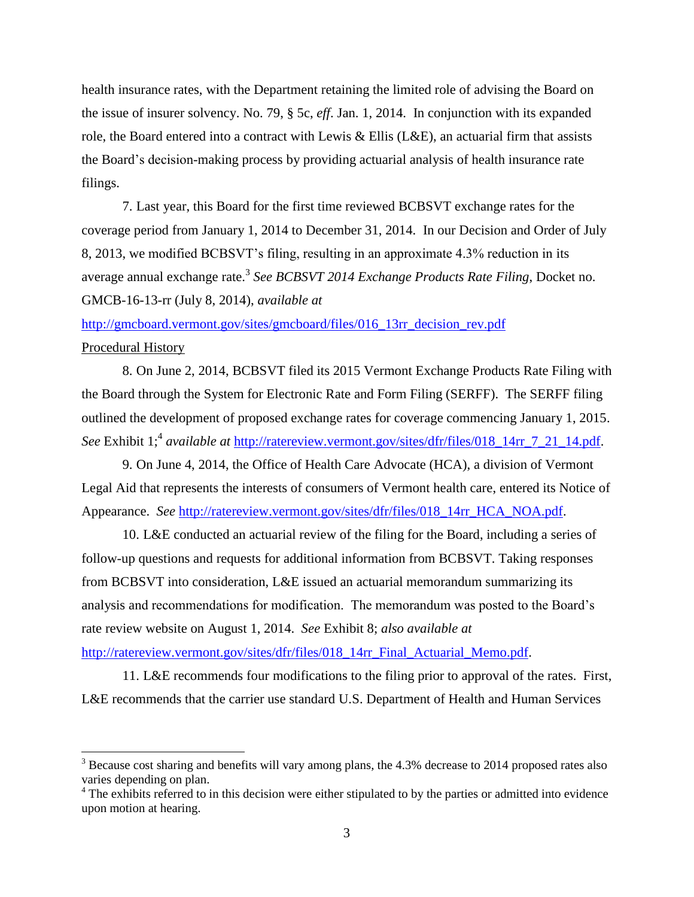health insurance rates, with the Department retaining the limited role of advising the Board on the issue of insurer solvency. No. 79, § 5c, *eff*. Jan. 1, 2014. In conjunction with its expanded role, the Board entered into a contract with Lewis & Ellis (L&E), an actuarial firm that assists the Board's decision-making process by providing actuarial analysis of health insurance rate filings.

7. Last year, this Board for the first time reviewed BCBSVT exchange rates for the coverage period from January 1, 2014 to December 31, 2014. In our Decision and Order of July 8, 2013, we modified BCBSVT's filing, resulting in an approximate 4.3% reduction in its average annual exchange rate.<sup>3</sup> *See BCBSVT 2014 Exchange Products Rate Filing*, Docket no. GMCB-16-13-rr (July 8, 2014), *available at*

[http://gmcboard.vermont.gov/sites/gmcboard/files/016\\_13rr\\_decision\\_rev.pdf](http://gmcboard.vermont.gov/sites/gmcboard/files/016_13rr_decision_rev.pdf) Procedural History

8. On June 2, 2014, BCBSVT filed its 2015 Vermont Exchange Products Rate Filing with the Board through the System for Electronic Rate and Form Filing (SERFF). The SERFF filing outlined the development of proposed exchange rates for coverage commencing January 1, 2015. See Exhibit 1;<sup>4</sup> available at [http://ratereview.vermont.gov/sites/dfr/files/018\\_14rr\\_7\\_21\\_14.pdf.](http://ratereview.vermont.gov/sites/dfr/files/018_14rr_7_21_14.pdf)

9. On June 4, 2014, the Office of Health Care Advocate (HCA), a division of Vermont Legal Aid that represents the interests of consumers of Vermont health care, entered its Notice of Appearance. *See* [http://ratereview.vermont.gov/sites/dfr/files/018\\_14rr\\_HCA\\_NOA.pdf.](http://ratereview.vermont.gov/sites/dfr/files/018_14rr_HCA_NOA.pdf)

10. L&E conducted an actuarial review of the filing for the Board, including a series of follow-up questions and requests for additional information from BCBSVT. Taking responses from BCBSVT into consideration, L&E issued an actuarial memorandum summarizing its analysis and recommendations for modification. The memorandum was posted to the Board's rate review website on August 1, 2014. *See* Exhibit 8; *also available at*

[http://ratereview.vermont.gov/sites/dfr/files/018\\_14rr\\_Final\\_Actuarial\\_Memo.pdf.](http://ratereview.vermont.gov/sites/dfr/files/018_14rr_Final_Actuarial_Memo.pdf)

l

11. L&E recommends four modifications to the filing prior to approval of the rates. First, L&E recommends that the carrier use standard U.S. Department of Health and Human Services

 $3$  Because cost sharing and benefits will vary among plans, the 4.3% decrease to 2014 proposed rates also varies depending on plan.

<sup>&</sup>lt;sup>4</sup> The exhibits referred to in this decision were either stipulated to by the parties or admitted into evidence upon motion at hearing.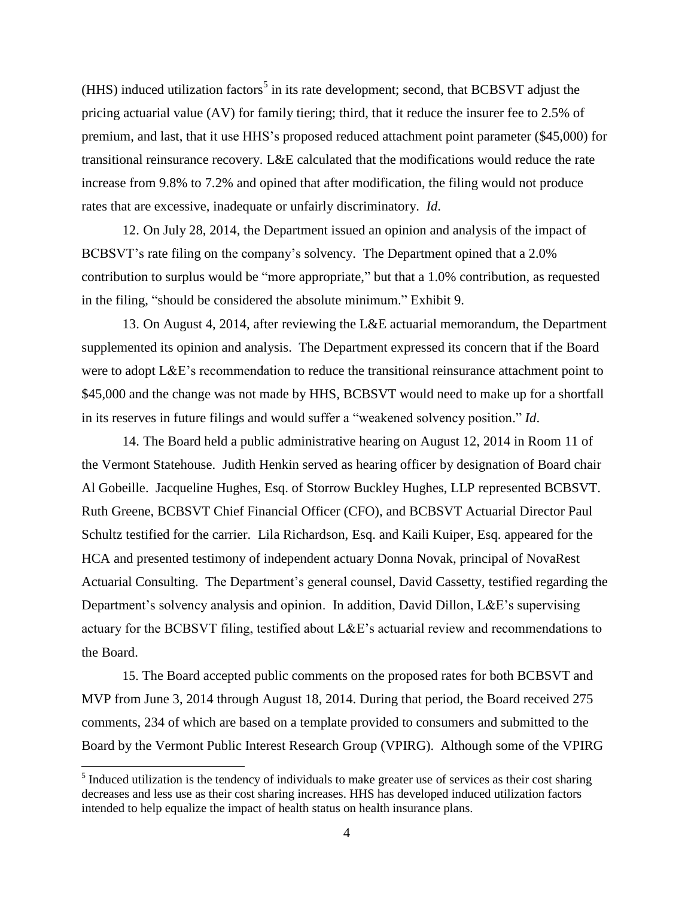(HHS) induced utilization factors<sup>5</sup> in its rate development; second, that BCBSVT adjust the pricing actuarial value (AV) for family tiering; third, that it reduce the insurer fee to 2.5% of premium, and last, that it use HHS's proposed reduced attachment point parameter (\$45,000) for transitional reinsurance recovery. L&E calculated that the modifications would reduce the rate increase from 9.8% to 7.2% and opined that after modification, the filing would not produce rates that are excessive, inadequate or unfairly discriminatory. *Id*.

12. On July 28, 2014, the Department issued an opinion and analysis of the impact of BCBSVT's rate filing on the company's solvency. The Department opined that a 2.0% contribution to surplus would be "more appropriate," but that a 1.0% contribution, as requested in the filing, "should be considered the absolute minimum." Exhibit 9.

13. On August 4, 2014, after reviewing the L&E actuarial memorandum, the Department supplemented its opinion and analysis. The Department expressed its concern that if the Board were to adopt L&E's recommendation to reduce the transitional reinsurance attachment point to \$45,000 and the change was not made by HHS, BCBSVT would need to make up for a shortfall in its reserves in future filings and would suffer a "weakened solvency position." *Id*.

14. The Board held a public administrative hearing on August 12, 2014 in Room 11 of the Vermont Statehouse. Judith Henkin served as hearing officer by designation of Board chair Al Gobeille. Jacqueline Hughes, Esq. of Storrow Buckley Hughes, LLP represented BCBSVT. Ruth Greene, BCBSVT Chief Financial Officer (CFO), and BCBSVT Actuarial Director Paul Schultz testified for the carrier. Lila Richardson, Esq. and Kaili Kuiper, Esq. appeared for the HCA and presented testimony of independent actuary Donna Novak, principal of NovaRest Actuarial Consulting. The Department's general counsel, David Cassetty, testified regarding the Department's solvency analysis and opinion. In addition, David Dillon, L&E's supervising actuary for the BCBSVT filing, testified about L&E's actuarial review and recommendations to the Board.

15. The Board accepted public comments on the proposed rates for both BCBSVT and MVP from June 3, 2014 through August 18, 2014. During that period, the Board received 275 comments, 234 of which are based on a template provided to consumers and submitted to the Board by the Vermont Public Interest Research Group (VPIRG). Although some of the VPIRG

 $<sup>5</sup>$  Induced utilization is the tendency of individuals to make greater use of services as their cost sharing</sup> decreases and less use as their cost sharing increases. HHS has developed induced utilization factors intended to help equalize the impact of health status on health insurance plans.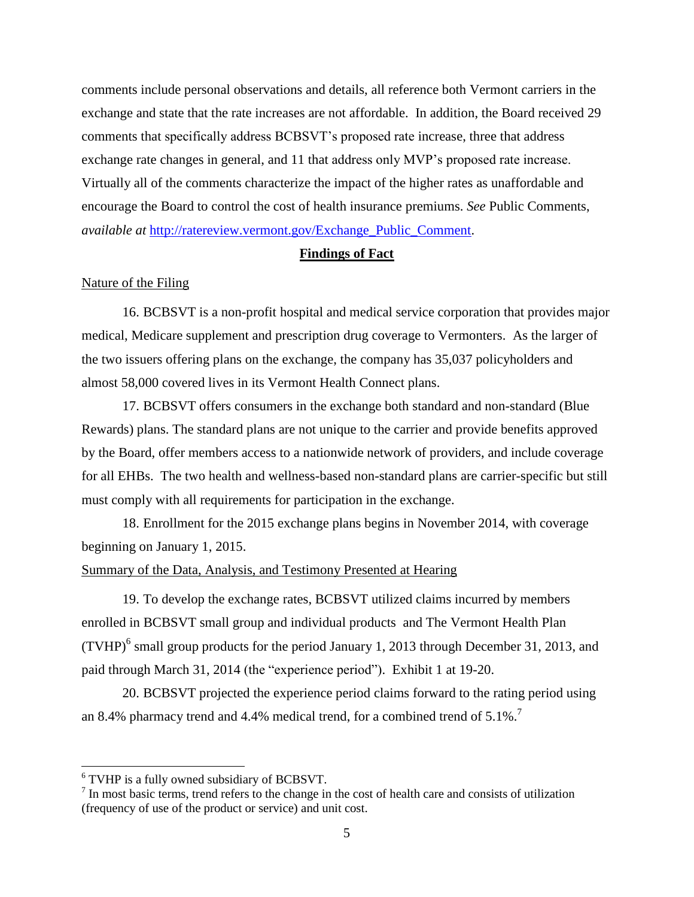comments include personal observations and details, all reference both Vermont carriers in the exchange and state that the rate increases are not affordable. In addition, the Board received 29 comments that specifically address BCBSVT's proposed rate increase, three that address exchange rate changes in general, and 11 that address only MVP's proposed rate increase. Virtually all of the comments characterize the impact of the higher rates as unaffordable and encourage the Board to control the cost of health insurance premiums. *See* Public Comments, *available at* [http://ratereview.vermont.gov/Exchange\\_Public\\_Comment.](http://ratereview.vermont.gov/Exchange_Public_Comment)

#### **Findings of Fact**

### Nature of the Filing

16. BCBSVT is a non-profit hospital and medical service corporation that provides major medical, Medicare supplement and prescription drug coverage to Vermonters. As the larger of the two issuers offering plans on the exchange, the company has 35,037 policyholders and almost 58,000 covered lives in its Vermont Health Connect plans.

17. BCBSVT offers consumers in the exchange both standard and non-standard (Blue Rewards) plans. The standard plans are not unique to the carrier and provide benefits approved by the Board, offer members access to a nationwide network of providers, and include coverage for all EHBs. The two health and wellness-based non-standard plans are carrier-specific but still must comply with all requirements for participation in the exchange.

18. Enrollment for the 2015 exchange plans begins in November 2014, with coverage beginning on January 1, 2015.

## Summary of the Data, Analysis, and Testimony Presented at Hearing

19. To develop the exchange rates, BCBSVT utilized claims incurred by members enrolled in BCBSVT small group and individual products and The Vermont Health Plan (TVHP) $<sup>6</sup>$  small group products for the period January 1, 2013 through December 31, 2013, and</sup> paid through March 31, 2014 (the "experience period"). Exhibit 1 at 19-20.

20. BCBSVT projected the experience period claims forward to the rating period using an 8.4% pharmacy trend and 4.4% medical trend, for a combined trend of  $5.1\%$ .<sup>7</sup>

<sup>6</sup> TVHP is a fully owned subsidiary of BCBSVT.

<sup>&</sup>lt;sup>7</sup> In most basic terms, trend refers to the change in the cost of health care and consists of utilization (frequency of use of the product or service) and unit cost.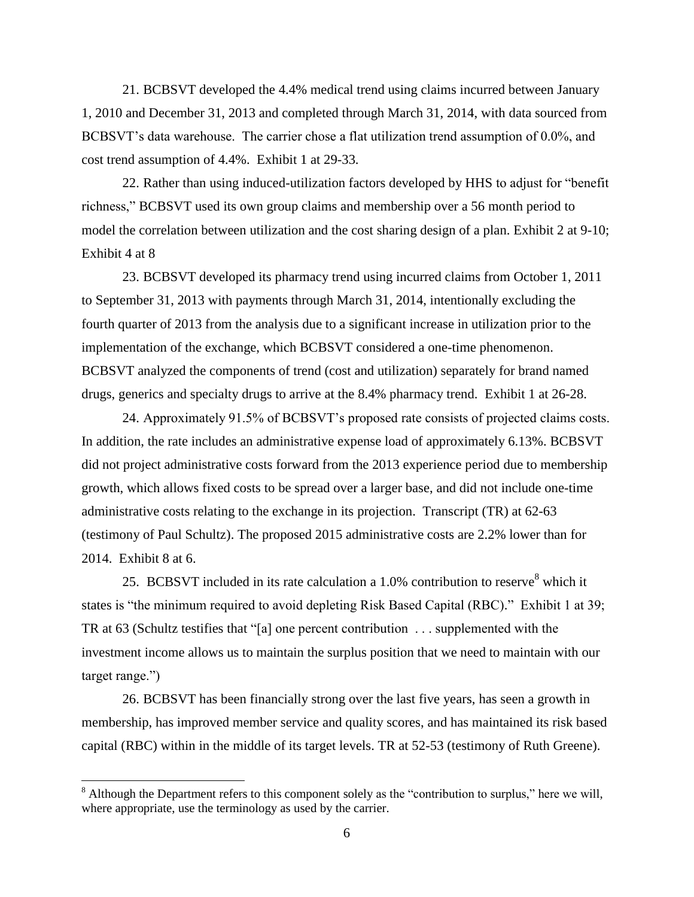21. BCBSVT developed the 4.4% medical trend using claims incurred between January 1, 2010 and December 31, 2013 and completed through March 31, 2014, with data sourced from BCBSVT's data warehouse. The carrier chose a flat utilization trend assumption of 0.0%, and cost trend assumption of 4.4%. Exhibit 1 at 29-33.

22. Rather than using induced-utilization factors developed by HHS to adjust for "benefit richness," BCBSVT used its own group claims and membership over a 56 month period to model the correlation between utilization and the cost sharing design of a plan. Exhibit 2 at 9-10; Exhibit 4 at 8

23. BCBSVT developed its pharmacy trend using incurred claims from October 1, 2011 to September 31, 2013 with payments through March 31, 2014, intentionally excluding the fourth quarter of 2013 from the analysis due to a significant increase in utilization prior to the implementation of the exchange, which BCBSVT considered a one-time phenomenon. BCBSVT analyzed the components of trend (cost and utilization) separately for brand named drugs, generics and specialty drugs to arrive at the 8.4% pharmacy trend. Exhibit 1 at 26-28.

24. Approximately 91.5% of BCBSVT's proposed rate consists of projected claims costs. In addition, the rate includes an administrative expense load of approximately 6.13%. BCBSVT did not project administrative costs forward from the 2013 experience period due to membership growth, which allows fixed costs to be spread over a larger base, and did not include one-time administrative costs relating to the exchange in its projection. Transcript (TR) at 62-63 (testimony of Paul Schultz). The proposed 2015 administrative costs are 2.2% lower than for 2014. Exhibit 8 at 6.

25. BCBSVT included in its rate calculation a 1.0% contribution to reserve<sup>8</sup> which it states is "the minimum required to avoid depleting Risk Based Capital (RBC)." Exhibit 1 at 39; TR at 63 (Schultz testifies that "[a] one percent contribution . . . supplemented with the investment income allows us to maintain the surplus position that we need to maintain with our target range.")

26. BCBSVT has been financially strong over the last five years, has seen a growth in membership, has improved member service and quality scores, and has maintained its risk based capital (RBC) within in the middle of its target levels. TR at 52-53 (testimony of Ruth Greene).

 $\overline{\phantom{a}}$ 

<sup>&</sup>lt;sup>8</sup> Although the Department refers to this component solely as the "contribution to surplus," here we will, where appropriate, use the terminology as used by the carrier.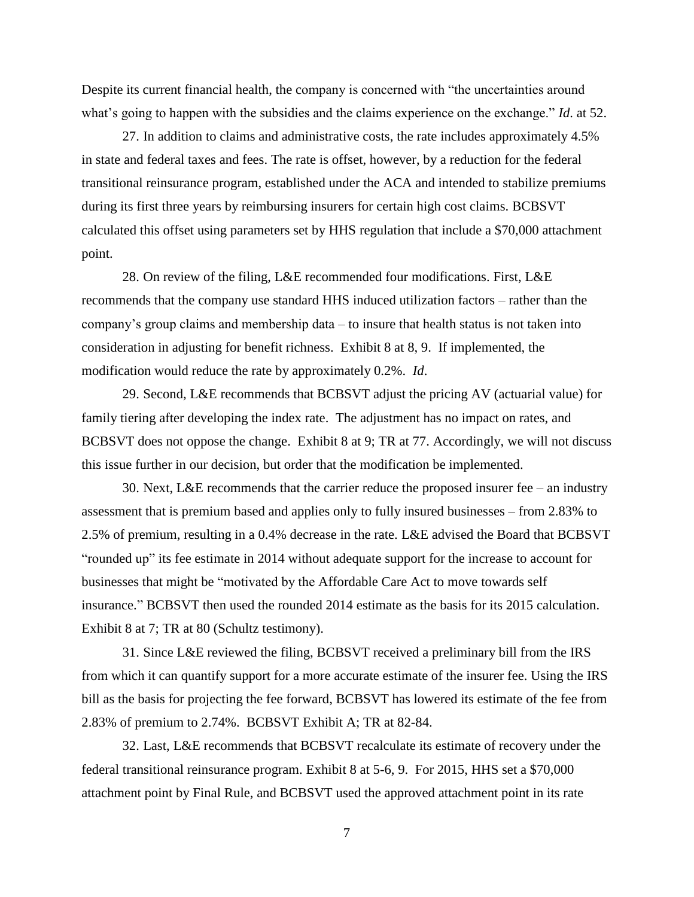Despite its current financial health, the company is concerned with "the uncertainties around what's going to happen with the subsidies and the claims experience on the exchange." *Id*. at 52.

27. In addition to claims and administrative costs, the rate includes approximately 4.5% in state and federal taxes and fees. The rate is offset, however, by a reduction for the federal transitional reinsurance program, established under the ACA and intended to stabilize premiums during its first three years by reimbursing insurers for certain high cost claims. BCBSVT calculated this offset using parameters set by HHS regulation that include a \$70,000 attachment point.

28. On review of the filing, L&E recommended four modifications. First, L&E recommends that the company use standard HHS induced utilization factors – rather than the company's group claims and membership data – to insure that health status is not taken into consideration in adjusting for benefit richness. Exhibit 8 at 8, 9. If implemented, the modification would reduce the rate by approximately 0.2%. *Id*.

29. Second, L&E recommends that BCBSVT adjust the pricing AV (actuarial value) for family tiering after developing the index rate. The adjustment has no impact on rates, and BCBSVT does not oppose the change. Exhibit 8 at 9; TR at 77. Accordingly, we will not discuss this issue further in our decision, but order that the modification be implemented.

30. Next, L&E recommends that the carrier reduce the proposed insurer fee – an industry assessment that is premium based and applies only to fully insured businesses – from 2.83% to 2.5% of premium, resulting in a 0.4% decrease in the rate. L&E advised the Board that BCBSVT "rounded up" its fee estimate in 2014 without adequate support for the increase to account for businesses that might be "motivated by the Affordable Care Act to move towards self insurance." BCBSVT then used the rounded 2014 estimate as the basis for its 2015 calculation. Exhibit 8 at 7; TR at 80 (Schultz testimony).

31. Since L&E reviewed the filing, BCBSVT received a preliminary bill from the IRS from which it can quantify support for a more accurate estimate of the insurer fee. Using the IRS bill as the basis for projecting the fee forward, BCBSVT has lowered its estimate of the fee from 2.83% of premium to 2.74%. BCBSVT Exhibit A; TR at 82-84.

32. Last, L&E recommends that BCBSVT recalculate its estimate of recovery under the federal transitional reinsurance program. Exhibit 8 at 5-6, 9. For 2015, HHS set a \$70,000 attachment point by Final Rule, and BCBSVT used the approved attachment point in its rate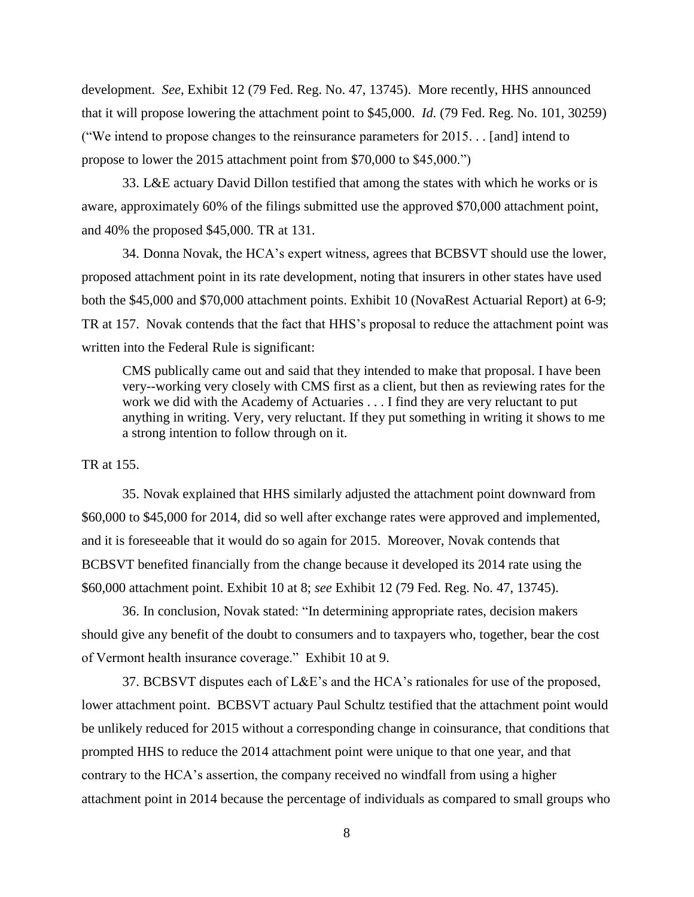development. *See*, Exhibit 12 (79 Fed. Reg. No. 47, 13745). More recently, HHS announced that it will propose lowering the attachment point to \$45,000. *Id.* (79 Fed. Reg. No. 101, 30259) ("We intend to propose changes to the reinsurance parameters for 2015. . . [and] intend to propose to lower the 2015 attachment point from \$70,000 to \$45,000.")

33. L&E actuary David Dillon testified that among the states with which he works or is aware, approximately 60% of the filings submitted use the approved \$70,000 attachment point, and 40% the proposed \$45,000. TR at 131.

34. Donna Novak, the HCA's expert witness, agrees that BCBSVT should use the lower, proposed attachment point in its rate development, noting that insurers in other states have used both the \$45,000 and \$70,000 attachment points. Exhibit 10 (NovaRest Actuarial Report) at 6-9; TR at 157. Novak contends that the fact that HHS's proposal to reduce the attachment point was written into the Federal Rule is significant:

CMS publically came out and said that they intended to make that proposal. I have been very--working very closely with CMS first as a client, but then as reviewing rates for the work we did with the Academy of Actuaries . . . I find they are very reluctant to put anything in writing. Very, very reluctant. If they put something in writing it shows to me a strong intention to follow through on it.

TR at 155.

35. Novak explained that HHS similarly adjusted the attachment point downward from \$60,000 to \$45,000 for 2014, did so well after exchange rates were approved and implemented, and it is foreseeable that it would do so again for 2015. Moreover, Novak contends that BCBSVT benefited financially from the change because it developed its 2014 rate using the \$60,000 attachment point. Exhibit 10 at 8; *see* Exhibit 12 (79 Fed. Reg. No. 47, 13745).

36. In conclusion, Novak stated: "In determining appropriate rates, decision makers should give any benefit of the doubt to consumers and to taxpayers who, together, bear the cost of Vermont health insurance coverage." Exhibit 10 at 9.

37. BCBSVT disputes each of L&E's and the HCA's rationales for use of the proposed, lower attachment point. BCBSVT actuary Paul Schultz testified that the attachment point would be unlikely reduced for 2015 without a corresponding change in coinsurance, that conditions that prompted HHS to reduce the 2014 attachment point were unique to that one year, and that contrary to the HCA's assertion, the company received no windfall from using a higher attachment point in 2014 because the percentage of individuals as compared to small groups who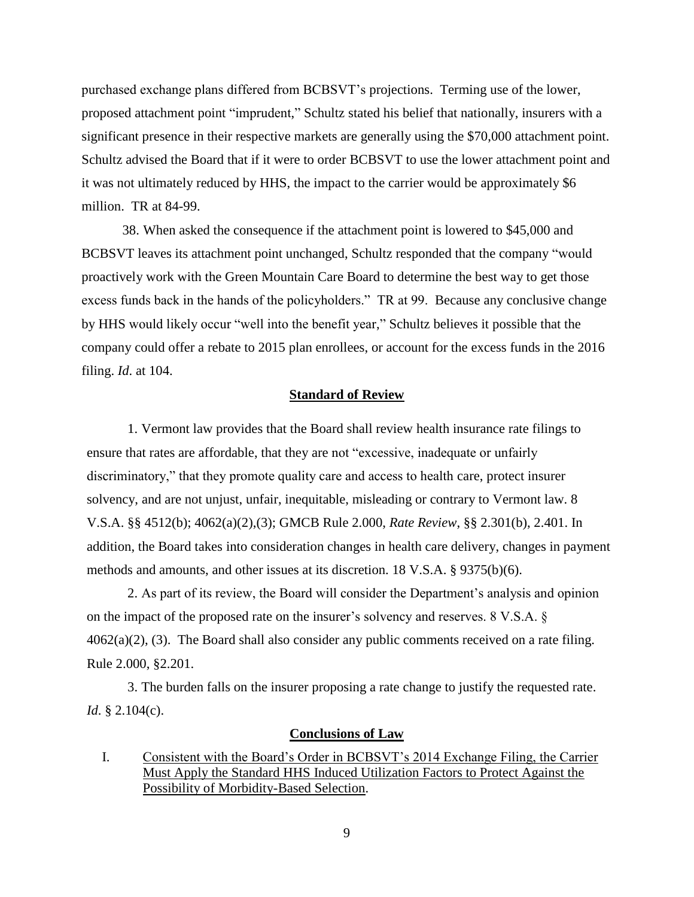purchased exchange plans differed from BCBSVT's projections. Terming use of the lower, proposed attachment point "imprudent," Schultz stated his belief that nationally, insurers with a significant presence in their respective markets are generally using the \$70,000 attachment point. Schultz advised the Board that if it were to order BCBSVT to use the lower attachment point and it was not ultimately reduced by HHS, the impact to the carrier would be approximately \$6 million. TR at 84-99.

38. When asked the consequence if the attachment point is lowered to \$45,000 and BCBSVT leaves its attachment point unchanged, Schultz responded that the company "would proactively work with the Green Mountain Care Board to determine the best way to get those excess funds back in the hands of the policyholders." TR at 99. Because any conclusive change by HHS would likely occur "well into the benefit year," Schultz believes it possible that the company could offer a rebate to 2015 plan enrollees, or account for the excess funds in the 2016 filing. *Id*. at 104.

### **Standard of Review**

1. Vermont law provides that the Board shall review health insurance rate filings to ensure that rates are affordable, that they are not "excessive, inadequate or unfairly discriminatory," that they promote quality care and access to health care, protect insurer solvency, and are not unjust, unfair, inequitable, misleading or contrary to Vermont law. 8 V.S.A. §§ 4512(b); 4062(a)(2),(3); GMCB Rule 2.000, *Rate Review*, §§ 2.301(b), 2.401. In addition, the Board takes into consideration changes in health care delivery, changes in payment methods and amounts, and other issues at its discretion. 18 V.S.A. § 9375(b)(6).

2. As part of its review, the Board will consider the Department's analysis and opinion on the impact of the proposed rate on the insurer's solvency and reserves. 8 V.S.A. § 4062(a)(2), (3). The Board shall also consider any public comments received on a rate filing. Rule 2.000, §2.201.

3. The burden falls on the insurer proposing a rate change to justify the requested rate. *Id.* § 2.104(c).

#### **Conclusions of Law**

I. Consistent with the Board's Order in BCBSVT's 2014 Exchange Filing, the Carrier Must Apply the Standard HHS Induced Utilization Factors to Protect Against the Possibility of Morbidity-Based Selection.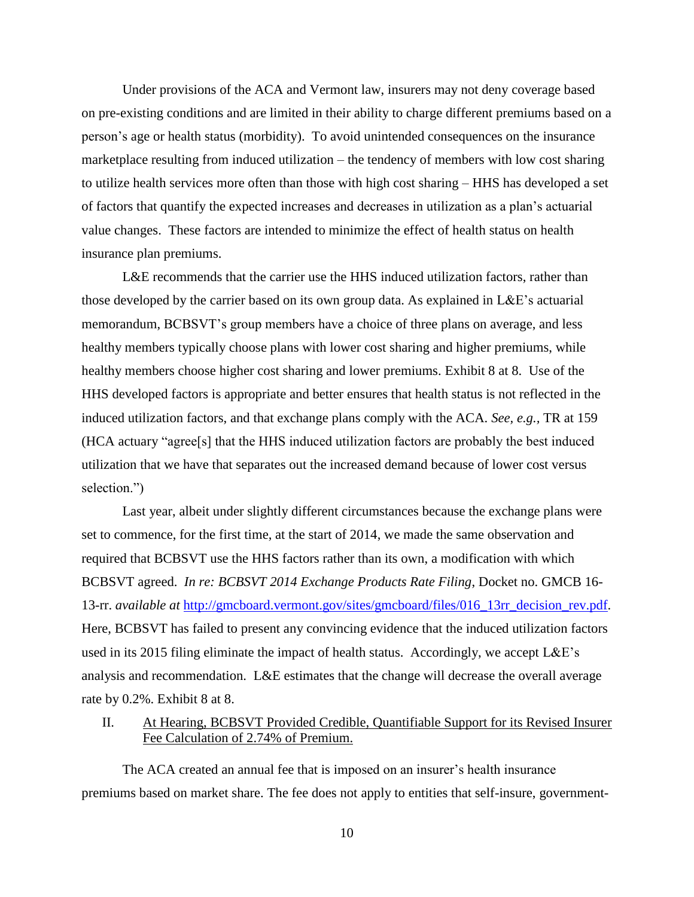Under provisions of the ACA and Vermont law, insurers may not deny coverage based on pre-existing conditions and are limited in their ability to charge different premiums based on a person's age or health status (morbidity). To avoid unintended consequences on the insurance marketplace resulting from induced utilization – the tendency of members with low cost sharing to utilize health services more often than those with high cost sharing – HHS has developed a set of factors that quantify the expected increases and decreases in utilization as a plan's actuarial value changes. These factors are intended to minimize the effect of health status on health insurance plan premiums.

L&E recommends that the carrier use the HHS induced utilization factors, rather than those developed by the carrier based on its own group data. As explained in L&E's actuarial memorandum, BCBSVT's group members have a choice of three plans on average, and less healthy members typically choose plans with lower cost sharing and higher premiums, while healthy members choose higher cost sharing and lower premiums. Exhibit 8 at 8. Use of the HHS developed factors is appropriate and better ensures that health status is not reflected in the induced utilization factors, and that exchange plans comply with the ACA. *See, e.g.,* TR at 159 (HCA actuary "agree[s] that the HHS induced utilization factors are probably the best induced utilization that we have that separates out the increased demand because of lower cost versus selection.")

Last year, albeit under slightly different circumstances because the exchange plans were set to commence, for the first time, at the start of 2014, we made the same observation and required that BCBSVT use the HHS factors rather than its own, a modification with which BCBSVT agreed. *In re: BCBSVT 2014 Exchange Products Rate Filing*, Docket no. GMCB 16- 13-rr. *available at* [http://gmcboard.vermont.gov/sites/gmcboard/files/016\\_13rr\\_decision\\_rev.pdf.](http://gmcboard.vermont.gov/sites/gmcboard/files/016_13rr_decision_rev.pdf) Here, BCBSVT has failed to present any convincing evidence that the induced utilization factors used in its 2015 filing eliminate the impact of health status. Accordingly, we accept L&E's analysis and recommendation. L&E estimates that the change will decrease the overall average rate by 0.2%. Exhibit 8 at 8.

II. At Hearing, BCBSVT Provided Credible, Quantifiable Support for its Revised Insurer Fee Calculation of 2.74% of Premium.

The ACA created an annual fee that is imposed on an insurer's health insurance premiums based on market share. The fee does not apply to entities that self-insure, government-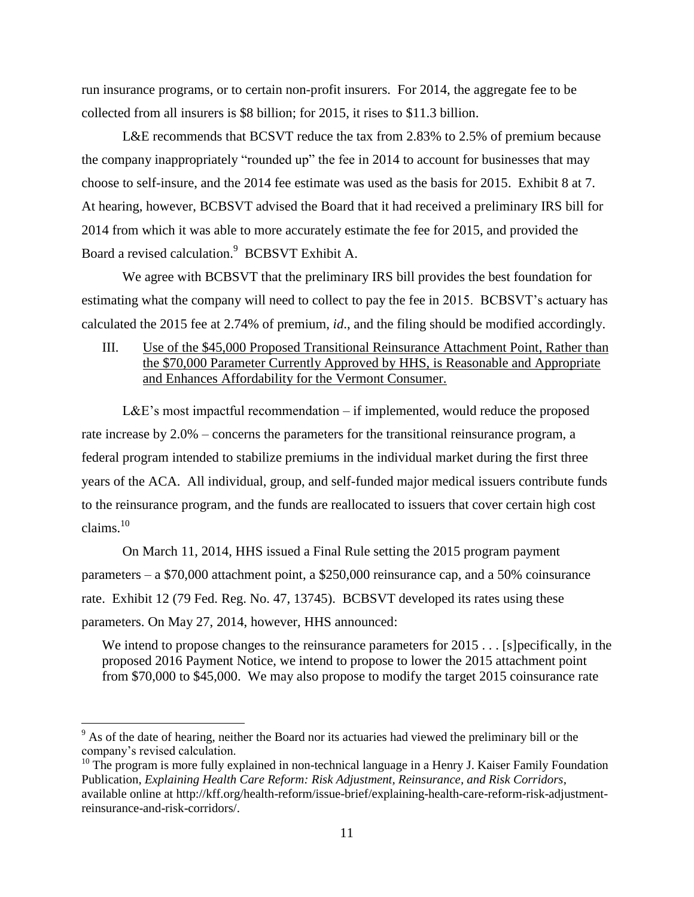run insurance programs, or to certain non-profit insurers. For 2014, the aggregate fee to be collected from all insurers is \$8 billion; for 2015, it rises to \$11.3 billion.

L&E recommends that BCSVT reduce the tax from 2.83% to 2.5% of premium because the company inappropriately "rounded up" the fee in 2014 to account for businesses that may choose to self-insure, and the 2014 fee estimate was used as the basis for 2015. Exhibit 8 at 7. At hearing, however, BCBSVT advised the Board that it had received a preliminary IRS bill for 2014 from which it was able to more accurately estimate the fee for 2015, and provided the Board a revised calculation.<sup>9</sup> BCBSVT Exhibit A.

We agree with BCBSVT that the preliminary IRS bill provides the best foundation for estimating what the company will need to collect to pay the fee in 2015. BCBSVT's actuary has calculated the 2015 fee at 2.74% of premium, *id*., and the filing should be modified accordingly.

# III. Use of the \$45,000 Proposed Transitional Reinsurance Attachment Point, Rather than the \$70,000 Parameter Currently Approved by HHS, is Reasonable and Appropriate and Enhances Affordability for the Vermont Consumer.

L&E's most impactful recommendation – if implemented, would reduce the proposed rate increase by 2.0% – concerns the parameters for the transitional reinsurance program, a federal program intended to stabilize premiums in the individual market during the first three years of the ACA. All individual, group, and self-funded major medical issuers contribute funds to the reinsurance program, and the funds are reallocated to issuers that cover certain high cost claims. 10

On March 11, 2014, HHS issued a Final Rule setting the 2015 program payment parameters – a \$70,000 attachment point, a \$250,000 reinsurance cap, and a 50% coinsurance rate. Exhibit 12 (79 Fed. Reg. No. 47, 13745). BCBSVT developed its rates using these parameters. On May 27, 2014, however, HHS announced:

We intend to propose changes to the reinsurance parameters for 2015 . . . [s] pecifically, in the proposed 2016 Payment Notice, we intend to propose to lower the 2015 attachment point from \$70,000 to \$45,000. We may also propose to modify the target 2015 coinsurance rate

 $9<sup>9</sup>$  As of the date of hearing, neither the Board nor its actuaries had viewed the preliminary bill or the company's revised calculation.

 $10$  The program is more fully explained in non-technical language in a Henry J. Kaiser Family Foundation Publication, *Explaining Health Care Reform: Risk Adjustment, Reinsurance, and Risk Corridors*, available online at http://kff.org/health-reform/issue-brief/explaining-health-care-reform-risk-adjustmentreinsurance-and-risk-corridors/.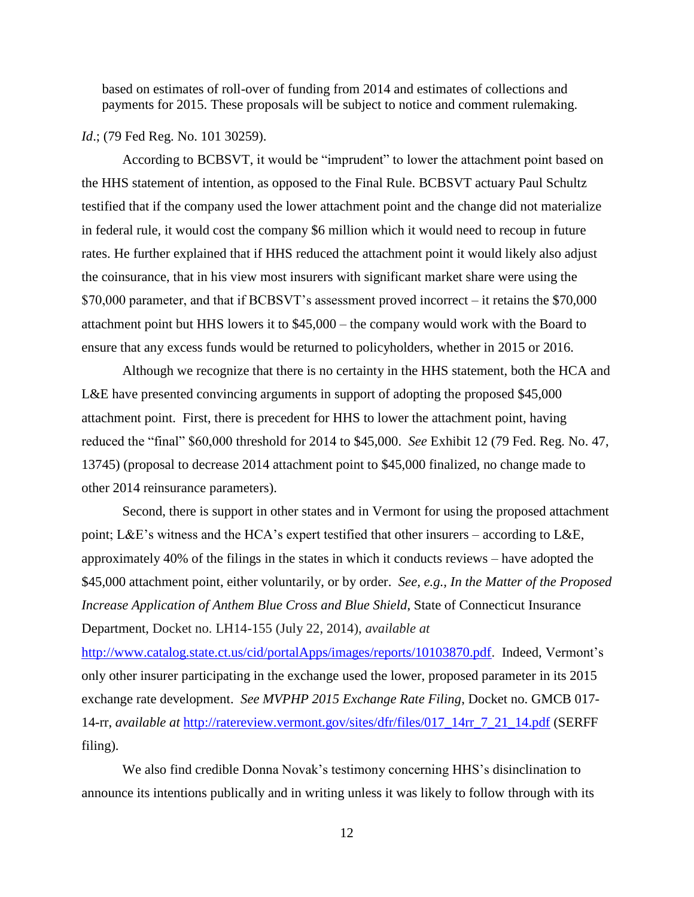based on estimates of roll-over of funding from 2014 and estimates of collections and payments for 2015. These proposals will be subject to notice and comment rulemaking.

#### *Id.*; (79 Fed Reg. No. 101 30259).

According to BCBSVT, it would be "imprudent" to lower the attachment point based on the HHS statement of intention, as opposed to the Final Rule. BCBSVT actuary Paul Schultz testified that if the company used the lower attachment point and the change did not materialize in federal rule, it would cost the company \$6 million which it would need to recoup in future rates. He further explained that if HHS reduced the attachment point it would likely also adjust the coinsurance, that in his view most insurers with significant market share were using the \$70,000 parameter, and that if BCBSVT's assessment proved incorrect – it retains the \$70,000 attachment point but HHS lowers it to \$45,000 – the company would work with the Board to ensure that any excess funds would be returned to policyholders, whether in 2015 or 2016.

Although we recognize that there is no certainty in the HHS statement, both the HCA and L&E have presented convincing arguments in support of adopting the proposed \$45,000 attachment point. First, there is precedent for HHS to lower the attachment point, having reduced the "final" \$60,000 threshold for 2014 to \$45,000. *See* Exhibit 12 (79 Fed. Reg. No. 47, 13745) (proposal to decrease 2014 attachment point to \$45,000 finalized, no change made to other 2014 reinsurance parameters).

Second, there is support in other states and in Vermont for using the proposed attachment point; L&E's witness and the HCA's expert testified that other insurers – according to L&E, approximately 40% of the filings in the states in which it conducts reviews – have adopted the \$45,000 attachment point, either voluntarily, or by order. *See, e.g., In the Matter of the Proposed Increase Application of Anthem Blue Cross and Blue Shield*, State of Connecticut Insurance Department, Docket no. LH14-155 (July 22, 2014), *available at*

[http://www.catalog.state.ct.us/cid/portalApps/images/reports/10103870.pdf.](http://www.catalog.state.ct.us/cid/portalApps/images/reports/10103870.pdf) Indeed, Vermont's only other insurer participating in the exchange used the lower, proposed parameter in its 2015 exchange rate development. *See MVPHP 2015 Exchange Rate Filing*, Docket no. GMCB 017- 14-rr, *available at* [http://ratereview.vermont.gov/sites/dfr/files/017\\_14rr\\_7\\_21\\_14.pdf](http://ratereview.vermont.gov/sites/dfr/files/017_14rr_7_21_14.pdf) (SERFF filing).

We also find credible Donna Novak's testimony concerning HHS's disinclination to announce its intentions publically and in writing unless it was likely to follow through with its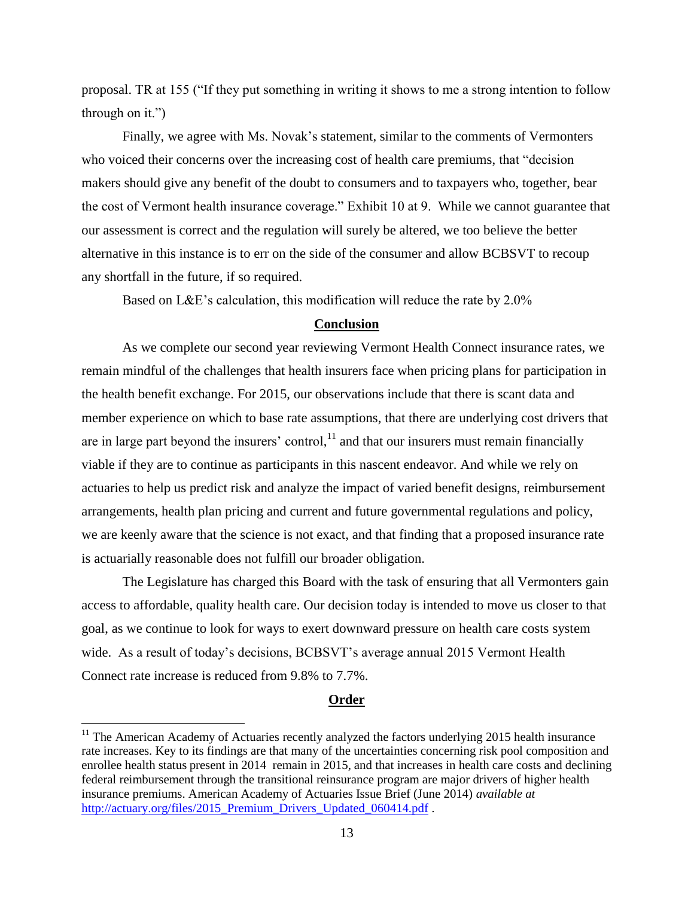proposal. TR at 155 ("If they put something in writing it shows to me a strong intention to follow through on it.")

Finally, we agree with Ms. Novak's statement, similar to the comments of Vermonters who voiced their concerns over the increasing cost of health care premiums, that "decision makers should give any benefit of the doubt to consumers and to taxpayers who, together, bear the cost of Vermont health insurance coverage." Exhibit 10 at 9. While we cannot guarantee that our assessment is correct and the regulation will surely be altered, we too believe the better alternative in this instance is to err on the side of the consumer and allow BCBSVT to recoup any shortfall in the future, if so required.

Based on L&E's calculation, this modification will reduce the rate by 2.0%

## **Conclusion**

As we complete our second year reviewing Vermont Health Connect insurance rates, we remain mindful of the challenges that health insurers face when pricing plans for participation in the health benefit exchange. For 2015, our observations include that there is scant data and member experience on which to base rate assumptions, that there are underlying cost drivers that are in large part beyond the insurers' control, $<sup>11</sup>$  and that our insurers must remain financially</sup> viable if they are to continue as participants in this nascent endeavor. And while we rely on actuaries to help us predict risk and analyze the impact of varied benefit designs, reimbursement arrangements, health plan pricing and current and future governmental regulations and policy, we are keenly aware that the science is not exact, and that finding that a proposed insurance rate is actuarially reasonable does not fulfill our broader obligation.

The Legislature has charged this Board with the task of ensuring that all Vermonters gain access to affordable, quality health care. Our decision today is intended to move us closer to that goal, as we continue to look for ways to exert downward pressure on health care costs system wide. As a result of today's decisions, BCBSVT's average annual 2015 Vermont Health Connect rate increase is reduced from 9.8% to 7.7%.

### **Order**

 $11$  The American Academy of Actuaries recently analyzed the factors underlying 2015 health insurance rate increases. Key to its findings are that many of the uncertainties concerning risk pool composition and enrollee health status present in 2014 remain in 2015, and that increases in health care costs and declining federal reimbursement through the transitional reinsurance program are major drivers of higher health insurance premiums. American Academy of Actuaries Issue Brief (June 2014) *available at* [http://actuary.org/files/2015\\_Premium\\_Drivers\\_Updated\\_060414.pdf](http://actuary.org/files/2015_Premium_Drivers_Updated_060414.pdf) .